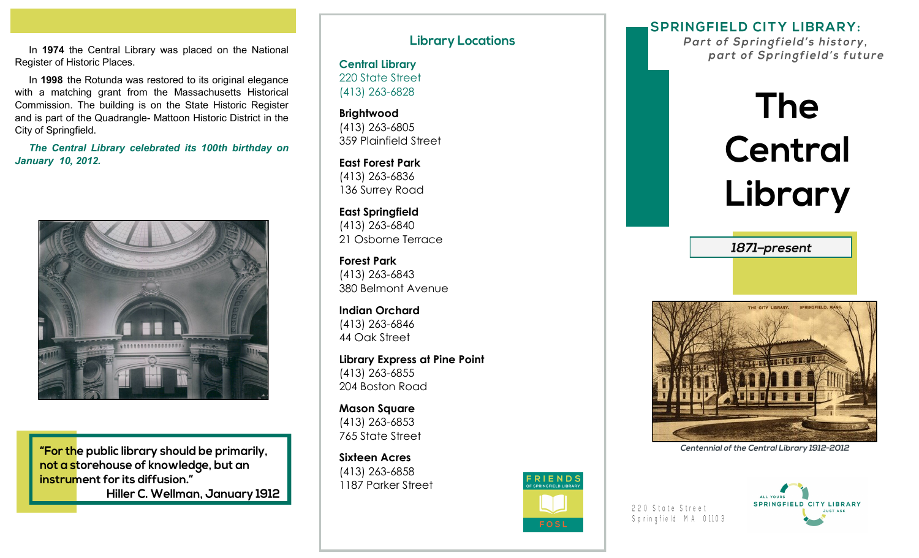In **1974** the Central Library was placed on the National Register of Historic Places.

 In **1998** the Rotunda was restored to its original elegance with a matching grant from the Massachusetts Historical Commission. The building is on the State Historic Register and is part of the Quadrangle- Mattoon Historic District in the City of Springfield.

*The Central Library celebrated its 100th birthday on January 10, 2012.*



"For the public library should be primarily, not a storehouse of knowledge, but an instrument for its diffusion." Hiller C. Wellman, January 1912 **Library Locations** 

**Central Library** 220 State Street (413) 263-6828

**Brightwood** (413) 263-6805 359 Plainfield Street

**East Forest Park** (413) 263-6836 136 Surrey Road

**East Springfield** (413) 263-6840 21 Osborne Terrace

**Forest Park** (413) 263-6843 380 Belmont Avenue

**Indian Orchard**  (413) 263-6846 44 Oak Street

**Library Express at Pine Point** (413) 263-6855 204 Boston Road

**Mason Square** (413) 263-6853 765 State Street

**Sixteen Acres** (413) 263-6858 1187 Parker Street



**SPRINGFIELD CITY LIBRARY:** 

Part of Springfield's history, part of Springfield's future

## **The** Central Library

1871-present



Centennial of the Central Library 1912-2012

220 State Street Springfield MA 01103